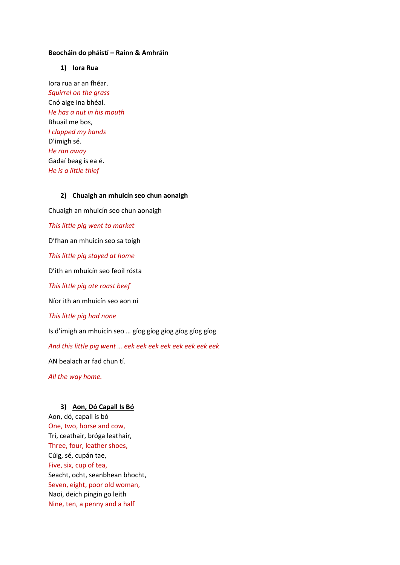#### **Beocháin do pháistí – Rainn & Amhráin**

## **1) Iora Rua**

Iora rua ar an fhéar. *Squirrel on the grass* Cnó aige ina bhéal. *He has a nut in his mouth* Bhuail me bos, *I clapped my hands* D'imigh sé. *He ran away* Gadaí beag is ea é. *He is a little thief*

#### **2) Chuaigh an mhuicín seo chun aonaigh**

Chuaigh an mhuicín seo chun aonaigh

*This little pig went to market*

D'fhan an mhuicín seo sa toigh

*This little pig stayed at home*

D'ith an mhuicín seo feoil rósta

*This little pig ate roast beef*

Níor ith an mhuicín seo aon ní

*This little pig had none*

Is d'imigh an mhuicín seo … gíog gíog gíog gíog gíog gíog

*And this little pig went … eek eek eek eek eek eek eek eek* 

AN bealach ar fad chun tí.

*All the way home.* 

#### **3) Aon, Dó Capall Is Bó**

Aon, dó, capall is bó One, two, horse and cow, Trí, ceathair, bróga leathair, Three, four, leather shoes, Cúig, sé, cupán tae, Five, six, cup of tea, Seacht, ocht, seanbhean bhocht, Seven, eight, poor old woman, Naoi, deich pingin go leith Nine, ten, a penny and a half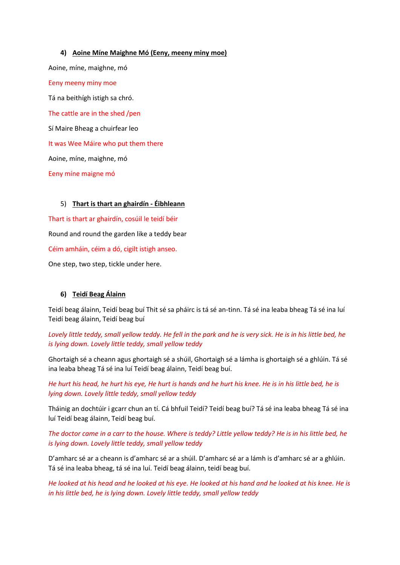**4) Aoine Míne Maighne Mó (Eeny, meeny miny moe)** Aoine, míne, maighne, mó Eeny meeny miny moe Tá na beithígh istigh sa chró. The cattle are in the shed /pen Sí Maire Bheag a chuirfear leo It was Wee Máire who put them there Aoine, míne, maighne, mó Eeny míne maigne mó

# 5) **Thart is thart an ghairdín - Éibhleann**

Thart is thart ar ghairdín, cosúil le teidí béir Round and round the garden like a teddy bear Céim amháin, céim a dó, cigilt istigh anseo. One step, two step, tickle under here.

# **6) Teidí Beag Álainn**

Teidí beag álainn, Teidí beag buí Thit sé sa pháirc is tá sé an-tinn. Tá sé ina leaba bheag Tá sé ina luí Teidí beag álainn, Teidí beag buí

*Lovely little teddy, small yellow teddy. He fell in the park and he is very sick. He is in his little bed, he is lying down. Lovely little teddy, small yellow teddy*

Ghortaigh sé a cheann agus ghortaigh sé a shúil, Ghortaigh sé a lámha is ghortaigh sé a ghlúin. Tá sé ina leaba bheag Tá sé ina luí Teidí beag álainn, Teidí beag buí.

*He hurt his head, he hurt his eye, He hurt is hands and he hurt his knee. He is in his little bed, he is lying down. Lovely little teddy, small yellow teddy*

Tháinig an dochtúir i gcarr chun an tí. Cá bhfuil Teidí? Teidí beag buí? Tá sé ina leaba bheag Tá sé ina luí Teidí beag álainn, Teidí beag buí.

*The doctor came in a carr to the house. Where is teddy? Little yellow teddy? He is in his little bed, he is lying down. Lovely little teddy, small yellow teddy*

D'amharc sé ar a cheann is d'amharc sé ar a shúil. D'amharc sé ar a lámh is d'amharc sé ar a ghlúin. Tá sé ina leaba bheag, tá sé ina luí. Teidí beag álainn, teidí beag buí.

*He looked at his head and he looked at his eye. He looked at his hand and he looked at his knee. He is in his little bed, he is lying down. Lovely little teddy, small yellow teddy*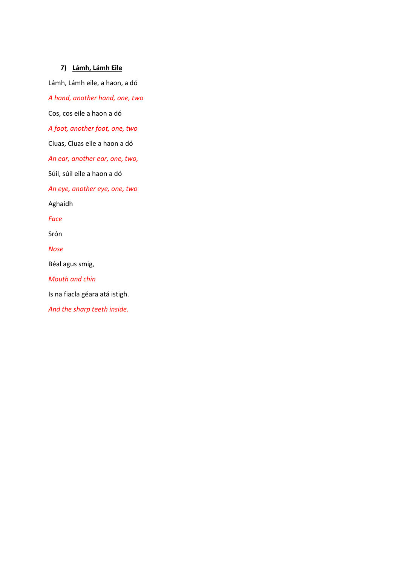# **7) Lámh, Lámh Eile**

Lámh, Lámh eile, a haon, a dó

*A hand, another hand, one, two*

Cos, cos eile a haon a dó

*A foot, another foot, one, two*

Cluas, Cluas eile a haon a dó

*An ear, another ear, one, two,* 

Súil, súil eile a haon a dó

*An eye, another eye, one, two* 

Aghaidh

*Face*

Srón

*Nose*

Béal agus smig,

*Mouth and chin*

Is na fiacla géara atá istigh.

*And the sharp teeth inside.*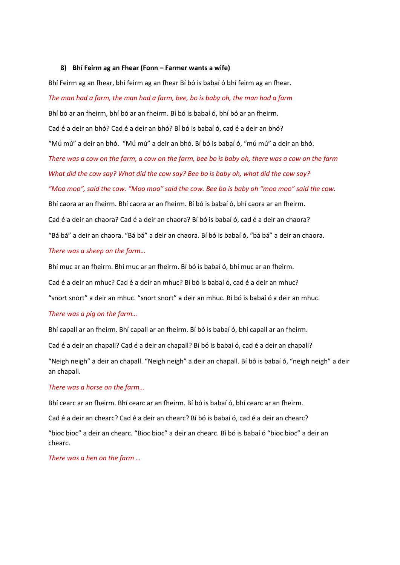#### **8) Bhí Feirm ag an Fhear (Fonn – Farmer wants a wife)**

Bhí Feirm ag an fhear, bhí feirm ag an fhear Bí bó is babaí ó bhí feirm ag an fhear.

# *The man had a farm, the man had a farm, bee, bo is baby oh, the man had a farm* Bhí bó ar an fheirm, bhí bó ar an fheirm. Bí bó is babaí ó, bhí bó ar an fheirm. Cad é a deir an bhó? Cad é a deir an bhó? Bí bó is babaí ó, cad é a deir an bhó? "Mú mú" a deir an bhó. "Mú mú" a deir an bhó. Bí bó is babaí ó, "mú mú" a deir an bhó. *There was a cow on the farm, a cow on the farm, bee bo is baby oh, there was a cow on the farm What did the cow say? What did the cow say? Bee bo is baby oh, what did the cow say? "Moo moo", said the cow. "Moo moo" said the cow. Bee bo is baby oh "moo moo" said the cow.*  Bhí caora ar an fheirm. Bhí caora ar an fheirm. Bí bó is babaí ó, bhí caora ar an fheirm. Cad é a deir an chaora? Cad é a deir an chaora? Bí bó is babaí ó, cad é a deir an chaora? "Bá bá" a deir an chaora. "Bá bá" a deir an chaora. Bí bó is babaí ó, "bá bá" a deir an chaora.

#### *There was a sheep on the farm…*

Bhí muc ar an fheirm. Bhí muc ar an fheirm. Bí bó is babaí ó, bhí muc ar an fheirm.

Cad é a deir an mhuc? Cad é a deir an mhuc? Bí bó is babaí ó, cad é a deir an mhuc?

"snort snort" a deir an mhuc. "snort snort" a deir an mhuc. Bí bó is babaí ó a deir an mhuc.

## *There was a pig on the farm…*

Bhí capall ar an fheirm. Bhí capall ar an fheirm. Bí bó is babaí ó, bhí capall ar an fheirm.

Cad é a deir an chapall? Cad é a deir an chapall? Bí bó is babaí ó, cad é a deir an chapall?

"Neigh neigh" a deir an chapall. "Neigh neigh" a deir an chapall. Bí bó is babaí ó, "neigh neigh" a deir an chapall.

#### *There was a horse on the farm…*

Bhí cearc ar an fheirm. Bhí cearc ar an fheirm. Bí bó is babaí ó, bhí cearc ar an fheirm.

Cad é a deir an chearc? Cad é a deir an chearc? Bí bó is babaí ó, cad é a deir an chearc?

"bioc bioc" a deir an chearc. "Bioc bioc" a deir an chearc. Bí bó is babaí ó "bioc bioc" a deir an chearc.

*There was a hen on the farm …*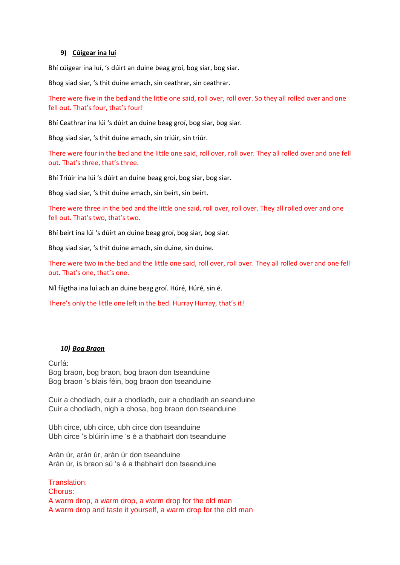#### **9) Cúigear ina luí**

Bhí cúigear ina luí, 's dúirt an duine beag groí, bog siar, bog siar.

Bhog siad siar, 's thit duine amach, sin ceathrar, sin ceathrar.

There were five in the bed and the little one said, roll over, roll over. So they all rolled over and one fell out. That's four, that's four!

Bhí Ceathrar ina lúi 's dúirt an duine beag groí, bog siar, bog siar.

Bhog siad siar, 's thit duine amach, sin triúir, sin triúr.

There were four in the bed and the little one said, roll over, roll over. They all rolled over and one fell out. That's three, that's three.

Bhí Triúir ina lúi 's dúirt an duine beag groí, bog siar, bog siar.

Bhog siad siar, 's thit duine amach, sin beirt, sin beirt.

There were three in the bed and the little one said, roll over, roll over. They all rolled over and one fell out. That's two, that's two.

Bhí beirt ina lúi 's dúirt an duine beag groí, bog siar, bog siar.

Bhog siad siar, 's thit duine amach, sin duine, sin duine.

There were two in the bed and the little one said, roll over, roll over. They all rolled over and one fell out. That's one, that's one.

Níl fágtha ina luí ach an duine beag groí. Húré, Húré, sin é.

There's only the little one left in the bed. Hurray Hurray, that's it!

## *10) Bog Braon*

Curfá: Bog braon, bog braon, bog braon don tseanduine Bog braon 's blais féin, bog braon don tseanduine

Cuir a chodladh, cuir a chodladh, cuir a chodladh an seanduine Cuir a chodladh, nigh a chosa, bog braon don tseanduine

Ubh circe, ubh circe, ubh circe don tseanduine Ubh circe 's blúirín ime 's é a thabhairt don tseanduine

Arán úr, arán úr, arán úr don tseanduine Arán úr, is braon sú 's é a thabhairt don tseanduine

Translation: Chorus: A warm drop, a warm drop, a warm drop for the old man A warm drop and taste it yourself, a warm drop for the old man